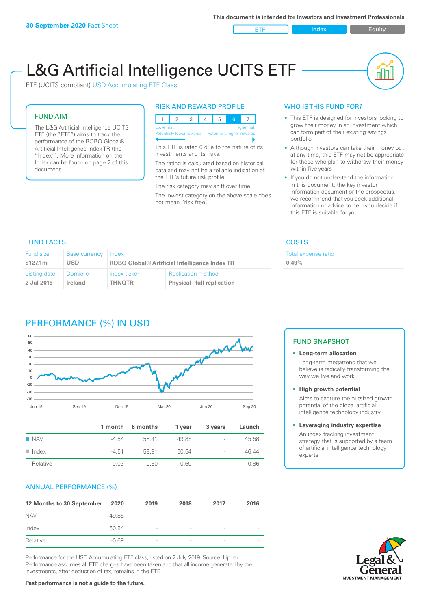ETF Index Builty

nN

# L&G Artificial Intelligence UCITS ETF

ETF (UCITS compliant) USD Accumulating ETF Class

#### FUND AIM

The L&G Artificial Intelligence UCITS ETF (the "ETF") aims to track the performance of the ROBO Global® Artificial Intelligence Index TR (the "Index"). More information on the Index can be found on page 2 of this document.

#### RISK AND REWARD PROFILE

| <b>Higher risk</b><br>Lower risk |  |  |  |  |  |                            |  |
|----------------------------------|--|--|--|--|--|----------------------------|--|
| Potentially lower rewards        |  |  |  |  |  | Potentially higher rewards |  |
|                                  |  |  |  |  |  |                            |  |

This ETF is rated 6 due to the nature of its investments and its risks.

The rating is calculated based on historical data and may not be a reliable indication of the ETF's future risk profile.

The risk category may shift over time. The lowest category on the above scale does not mean "risk free".

#### WHO IS THIS FUND FOR?

- This ETF is designed for investors looking to grow their money in an investment which can form part of their existing savings portfolio
- Although investors can take their money out at any time, this ETF may not be appropriate for those who plan to withdraw their money within five years
- If you do not understand the information in this document, the key investor information document or the prospectus, we recommend that you seek additional information or advice to help you decide if this ETF is suitable for you.

**0.49%**

Total expense ratio

FUND FACTS COSTS

| <b>Fund size</b> | <b>Base currency</b> | Index                                                |                                    |  |
|------------------|----------------------|------------------------------------------------------|------------------------------------|--|
| \$127.1m         | <b>USD</b>           | <b>ROBO Global® Artificial Intelligence Index TR</b> |                                    |  |
| Listing date     | <b>Domicile</b>      | Index ticker                                         | <b>Replication method</b>          |  |
| 2 Jul 2019       | Ireland              | <b>THNOTR</b>                                        | <b>Physical - full replication</b> |  |

## PERFORMANCE (%) IN USD



|                      |         | 1 month 6 months | 1 vear  | 3 years                  | Launch  |
|----------------------|---------|------------------|---------|--------------------------|---------|
| $\blacksquare$ NAV   | $-4.54$ | 58.41            | 49.85   | $\sim$                   | 45.58   |
| $\blacksquare$ Index | -4.51   | 58.91            | 50.54   | $\sim$                   | 46.44   |
| Relative             | $-0.03$ | $-0.50$          | $-0.69$ | $\overline{\phantom{a}}$ | $-0.86$ |

#### ANNUAL PERFORMANCE (%)

| 12 Months to 30 September | 2020    | 2019                     | 2018                     | 2017                     | 2016                     |
|---------------------------|---------|--------------------------|--------------------------|--------------------------|--------------------------|
| <b>NAV</b>                | 49.85   | $\overline{\phantom{a}}$ | $\overline{\phantom{a}}$ | $\overline{\phantom{a}}$ | $\overline{\phantom{a}}$ |
| Index                     | 50.54   | $\overline{\phantom{a}}$ | $\overline{a}$           | $\qquad \qquad$          | $\overline{\phantom{a}}$ |
| Relative                  | $-0.69$ | $\qquad \qquad$          |                          | $\qquad \qquad$          | $\overline{\phantom{a}}$ |

Performance for the USD Accumulating ETF class, listed on 2 July 2019. Source: Lipper. Performance assumes all ETF charges have been taken and that all income generated by the investments, after deduction of tax, remains in the ETF.

#### FUND SNAPSHOT

**• Long-term allocation** Long-term megatrend that we believe is radically transforming the way we live and work

**• High growth potential** Aims to capture the outsized growth potential of the global artificial intelligence technology industry

#### **• Leveraging industry expertise** An index tracking investment strategy that is supported by a team of artificial intelligence technology experts

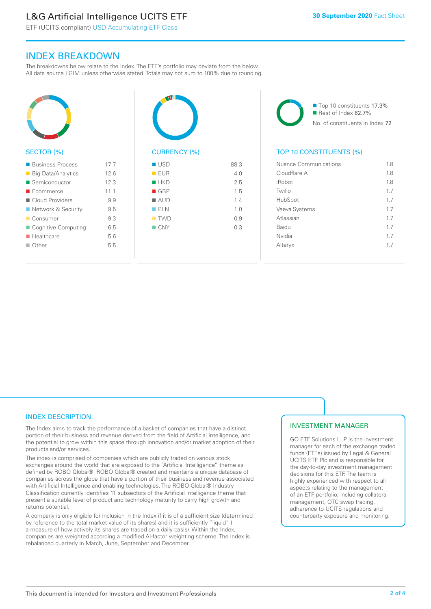# L&G Artificial Intelligence UCITS ETF

ETF (UCITS compliant) USD Accumulating ETF Class

### INDEX BREAKDOWN

The breakdowns below relate to the Index. The ETF's portfolio may deviate from the below. All data source LGIM unless otherwise stated. Totals may not sum to 100% due to rounding.



#### SECTOR (%)

| <b>Business Process</b>   | 17.7 |
|---------------------------|------|
| <b>Big Data/Analytics</b> | 12.6 |
| Semiconductor             | 12.3 |
| $\blacksquare$ Ecommerce  | 111  |
| Cloud Providers           | 9.9  |
| ■ Network & Security      | 9.5  |
| ■ Consumer                | 9.3  |
| ■ Cognitive Computing     | 65   |
| $\blacksquare$ Healthcare | 5.6  |
| $\Box$ Other              | 5.5  |
|                           |      |



| EUR                | 4.0 |
|--------------------|-----|
| HKD                | 2.5 |
| $\blacksquare$ GBP | 1.5 |
| $\blacksquare$ AUD | 1.4 |
| PLN                | 1.0 |
| $\blacksquare$ TWD | 0.9 |
| $\blacksquare$ CNY | 0.3 |
|                    |     |
|                    |     |

■ Top 10 constituents 17.3% Rest of Index 82.7% No. of constituents in Index 72

#### TOP 10 CONSTITUENTS (%)

| Nuance Communications | 1.8 |
|-----------------------|-----|
| Cloudflare A          | 18  |
| iRobot                | 1.8 |
| Twilio                | 17  |
| HubSpot               | 17  |
| Veeva Systems         | 17  |
| Atlassian             | 17  |
| Baidu                 | 17  |
| Nvidia                | 17  |
| Alteryx               | 17  |
|                       |     |

#### INDEX DESCRIPTION

The Index aims to track the performance of a basket of companies that have a distinct portion of their business and revenue derived from the field of Artificial Intelligence, and the potential to grow within this space through innovation and/or market adoption of their products and/or services.

The index is comprised of companies which are publicly traded on various stock exchanges around the world that are exposed to the "Artificial Intelligence" theme as defined by ROBO Global®. ROBO Global® created and maintains a unique database of companies across the globe that have a portion of their business and revenue associated with Artificial Intelligence and enabling technologies. The ROBO Global® Industry Classification currently identifies 11 subsectors of the Artificial Intelligence theme that present a suitable level of product and technology maturity to carry high growth and returns potential.

A company is only eligible for inclusion in the Index if it is of a sufficient size (determined by reference to the total market value of its shares) and it is sufficiently "liquid" ( a measure of how actively its shares are traded on a daily basis). Within the Index, companies are weighted according a modified AI-factor weighting scheme. The Index is rebalanced quarterly in March, June, September and December.

#### INVESTMENT MANAGER

GO ETF Solutions LLP is the investment manager for each of the exchange traded funds (ETFs) issued by Legal & General UCITS ETF Plc and is responsible for the day-to-day investment management decisions for this ETF. The team is highly experienced with respect to all aspects relating to the management of an ETF portfolio, including collateral management, OTC swap trading, adherence to UCITS regulations and counterparty exposure and monitoring.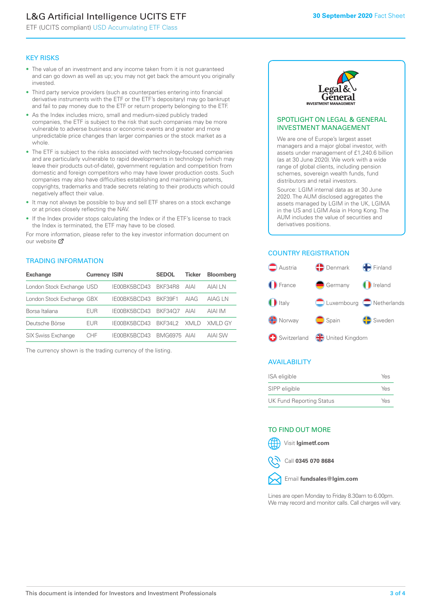# L&G Artificial Intelligence UCITS ETF

ETF (UCITS compliant) USD Accumulating ETF Class

#### KEY RISKS

- The value of an investment and any income taken from it is not guaranteed and can go down as well as up; you may not get back the amount you originally invested.
- Third party service providers (such as counterparties entering into financial derivative instruments with the ETF or the ETF's depositary) may go bankrupt and fail to pay money due to the ETF or return property belonging to the ETF.
- As the Index includes micro, small and medium-sized publicly traded companies, the ETF is subject to the risk that such companies may be more vulnerable to adverse business or economic events and greater and more unpredictable price changes than larger companies or the stock market as a whole.
- The ETF is subject to the risks associated with technology-focused companies and are particularly vulnerable to rapid developments in technology (which may leave their products out-of-date), government regulation and competition from domestic and foreign competitors who may have lower production costs. Such companies may also have difficulties establishing and maintaining patents, copyrights, trademarks and trade secrets relating to their products which could negatively affect their value.
- It may not always be possible to buy and sell ETF shares on a stock exchange or at prices closely reflecting the NAV.
- If the Index provider stops calculating the Index or if the ETF's license to track the Index is terminated, the ETF may have to be closed.

For more information, please refer to the key investor information document on our website Ø

#### TRADING INFORMATION

| <b>Exchange</b>           | <b>Currency ISIN</b> |                      | <b>SEDOL</b> | <b>Ticker</b> | <b>Bloomberg</b> |
|---------------------------|----------------------|----------------------|--------------|---------------|------------------|
| London Stock Exchange USD |                      | IE00BK5BCD43 BKF34R8 |              | AIAI          | AIAI I N         |
| London Stock Exchange GBX |                      | IE00BK5BCD43         | BKF39F1      | AIAG          | AIAG I N         |
| Borsa Italiana            | EUR                  | IE00BK5BCD43         | BKF3407      | AIAI          | AIAI IM          |
| Deutsche Börse            | EUR                  | IFOORK5BCD43         | BKF341 2     | XMI D         | XMI D GY         |
| <b>SIX Swiss Exchange</b> | CHE                  | IE00BK5BCD43         | BMG6975 AIAI |               | AIAI SW          |

The currency shown is the trading currency of the listing.



#### SPOTLIGHT ON LEGAL & GENERAL INVESTMENT MANAGEMENT

We are one of Europe's largest asset managers and a major global investor, with assets under management of £1,240.6 billion (as at 30 June 2020). We work with a wide range of global clients, including pension schemes, sovereign wealth funds, fund distributors and retail investors.

Source: LGIM internal data as at 30 June 2020. The AUM disclosed aggregates the assets managed by LGIM in the UK, LGIMA in the US and LGIM Asia in Hong Kong. The AUM includes the value of securities and derivatives positions.

#### COUNTRY REGISTRATION



#### AVAILABILITY

| ISA eligible                    | Yes |
|---------------------------------|-----|
| SIPP eligible                   | Yes |
| <b>UK Fund Reporting Status</b> | Yes |

#### TO FIND OUT MORE



Call **0345 070 8684**



Lines are open Monday to Friday 8.30am to 6.00pm. We may record and monitor calls. Call charges will vary.